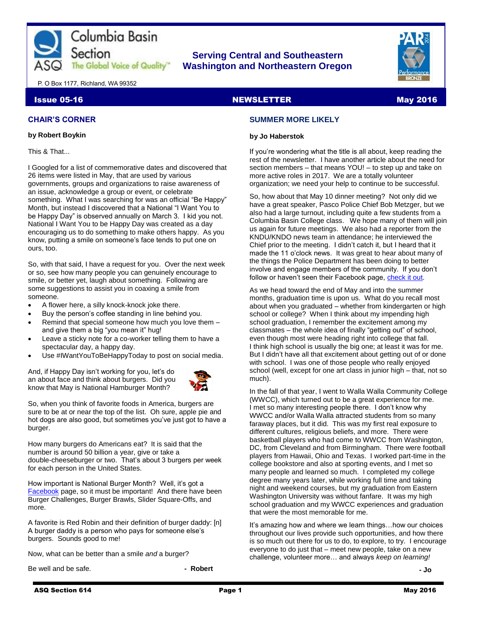

# **Serving Central and Southeastern The Global Voice of Quality Washington and Northeastern Oregon**



P. O Box 1177, Richland, WA 99352

# Issue 05-16 NewsLETTER NEWSLETTER And the May 2016

# **CHAIR'S CORNER**

#### **by Robert Boykin**

This & That...

I Googled for a list of commemorative dates and discovered that 26 items were listed in May, that are used by various governments, groups and organizations to raise awareness of an issue, acknowledge a group or event, or celebrate something. What I was searching for was an official "Be Happy" Month, but instead I discovered that a National "I Want You to be Happy Day" is observed annually on March 3. I kid you not. National I Want You to be Happy Day was created as a day encouraging us to do something to make others happy. As you know, putting a smile on someone's face tends to put one on ours, too.

So, with that said, I have a request for you. Over the next week or so, see how many people you can genuinely encourage to smile, or better yet, laugh about something. Following are some suggestions to assist you in coaxing a smile from someone.

- A flower here, a silly knock-knock joke there.
- Buy the person's coffee standing in line behind you.
- Remind that special someone how much you love them and give them a big "you mean it" hug!
- Leave a sticky note for a co-worker telling them to have a spectacular day, a happy day.
- Use #IWantYouToBeHappyToday to post on social media.

And, if Happy Day isn't working for you, let's do an about face and think about burgers. Did you know that May is National Hamburger Month?



So, when you think of favorite foods in America, burgers are sure to be at or near the top of the list. Oh sure, apple pie and hot dogs are also good, but sometimes you've just got to have a burger.

How many burgers do Americans eat? It is said that the number is around 50 billion a year, give or take a double-cheeseburger or two. That's about 3 burgers per week for each person in the United States.

How important is National Burger Month? Well, it's got a [Facebook](https://www.facebook.com/NationalHamburgerMonth) page, so it must be important! And there have been Burger Challenges, Burger Brawls, Slider Square-Offs, and more.

A favorite is Red Robin and their definition of burger daddy: [n] A burger daddy is a person who pays for someone else's burgers. Sounds good to me!

Now, what can be better than a smile *and* a burger?

Be well and be safe. **A subset of the set of the set of the Robert - Robert** 

# **SUMMER MORE LIKELY**

#### **by Jo Haberstok**

If you're wondering what the title is all about, keep reading the rest of the newsletter. I have another article about the need for section members – that means YOU! – to step up and take on more active roles in 2017. We are a totally volunteer organization; we need your help to continue to be successful.

So, how about that May 10 dinner meeting? Not only did we have a great speaker, Pasco Police Chief Bob Metzger, but we also had a large turnout, including quite a few students from a Columbia Basin College class. We hope many of them will join us again for future meetings. We also had a reporter from the KNDU/KNDO news team in attendance; he interviewed the Chief prior to the meeting. I didn't catch it, but I heard that it made the 11 o'clock news. It was great to hear about many of the things the Police Department has been doing to better involve and engage members of the community. If you don't follow or haven't seen their Facebook page, [check it out.](https://www.facebook.com/pasco.police)

As we head toward the end of May and into the summer months, graduation time is upon us. What do you recall most about when you graduated – whether from kindergarten or high school or college? When I think about my impending high school graduation, I remember the excitement among my classmates – the whole idea of finally "getting out" of school, even though most were heading right into college that fall. I think high school is usually the big one; at least it was for me. But I didn't have all that excitement about getting out of or done with school. I was one of those people who really enjoyed school (well, except for one art class in junior high – that, not so much).

In the fall of that year, I went to Walla Walla Community College (WWCC), which turned out to be a great experience for me. I met so many interesting people there. I don't know why WWCC and/or Walla Walla attracted students from so many faraway places, but it did. This was my first real exposure to different cultures, religious beliefs, and more. There were basketball players who had come to WWCC from Washington, DC, from Cleveland and from Birmingham. There were football players from Hawaii, Ohio and Texas. I worked part-time in the college bookstore and also at sporting events, and I met so many people and learned so much. I completed my college degree many years later, while working full time and taking night and weekend courses, but my graduation from Eastern Washington University was without fanfare. It was my high school graduation and my WWCC experiences and graduation that were the most memorable for me.

It's amazing how and where we learn things…how our choices throughout our lives provide such opportunities, and how there is so much out there for us to do, to explore, to try. I encourage everyone to do just that – meet new people, take on a new challenge, volunteer more… and always *keep on learning!*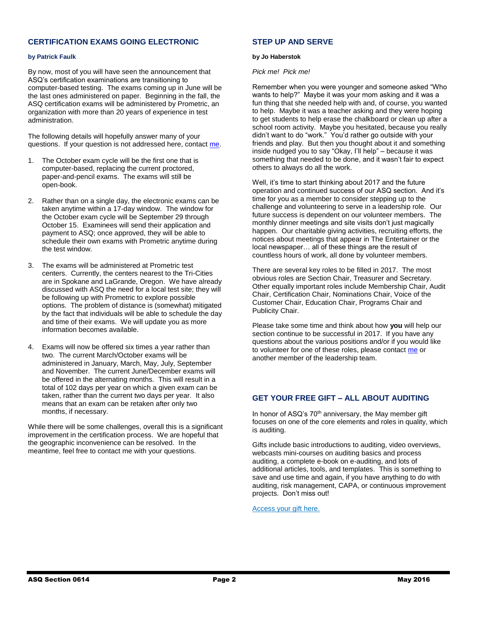# **CERTIFICATION EXAMS GOING ELECTRONIC**

#### **by Patrick Faulk**

By now, most of you will have seen the announcement that ASQ's certification examinations are transitioning to computer-based testing. The exams coming up in June will be the last ones administered on paper. Beginning in the fall, the ASQ certification exams will be administered by Prometric, an organization with more than 20 years of experience in test administration.

The following details will hopefully answer many of your questions. If your question is not addressed here, contact [me.](mailto:prfaulk@bechtel.com)

- 1. The October exam cycle will be the first one that is computer-based, replacing the current proctored, paper-and-pencil exams. The exams will still be open-book.
- 2. Rather than on a single day, the electronic exams can be taken anytime within a 17-day window. The window for the October exam cycle will be September 29 through October 15. Examinees will send their application and payment to ASQ; once approved, they will be able to schedule their own exams with Prometric anytime during the test window.
- 3. The exams will be administered at Prometric test centers. Currently, the centers nearest to the Tri-Cities are in Spokane and LaGrande, Oregon. We have already discussed with ASQ the need for a local test site; they will be following up with Prometric to explore possible options. The problem of distance is (somewhat) mitigated by the fact that individuals will be able to schedule the day and time of their exams. We will update you as more information becomes available.
- 4. Exams will now be offered six times a year rather than two. The current March/October exams will be administered in January, March, May, July, September and November. The current June/December exams will be offered in the alternating months. This will result in a total of 102 days per year on which a given exam can be taken, rather than the current two days per year. It also means that an exam can be retaken after only two months, if necessary.

While there will be some challenges, overall this is a significant improvement in the certification process. We are hopeful that the geographic inconvenience can be resolved. In the meantime, feel free to contact me with your questions.

# **STEP UP AND SERVE**

#### **by Jo Haberstok**

#### *Pick me! Pick me!*

Remember when you were younger and someone asked "Who wants to help?" Maybe it was your mom asking and it was a fun thing that she needed help with and, of course, you wanted to help. Maybe it was a teacher asking and they were hoping to get students to help erase the chalkboard or clean up after a school room activity. Maybe you hesitated, because you really didn't want to do "work." You'd rather go outside with your friends and play. But then you thought about it and something inside nudged you to say "Okay, I'll help" – because it was something that needed to be done, and it wasn't fair to expect others to always do all the work.

Well, it's time to start thinking about 2017 and the future operation and continued success of our ASQ section. And it's time for you as a member to consider stepping up to the challenge and volunteering to serve in a leadership role. Our future success is dependent on our volunteer members. The monthly dinner meetings and site visits don't just magically happen. Our charitable giving activities, recruiting efforts, the notices about meetings that appear in The Entertainer or the local newspaper… all of these things are the result of countless hours of work, all done by volunteer members.

There are several key roles to be filled in 2017. The most obvious roles are Section Chair, Treasurer and Secretary. Other equally important roles include Membership Chair, Audit Chair, Certification Chair, Nominations Chair, Voice of the Customer Chair, Education Chair, Programs Chair and Publicity Chair.

Please take some time and think about how **you** will help our section continue to be successful in 2017. If you have any questions about the various positions and/or if you would like to volunteer for one of these roles, please contac[t me](mailto:jkhbme@gmail.com) or another member of the leadership team.

# **GET YOUR FREE GIFT – ALL ABOUT AUDITING**

In honor of ASQ's 70<sup>th</sup> anniversary, the May member gift focuses on one of the core elements and roles in quality, which is auditing.

Gifts include basic introductions to auditing, video overviews, webcasts mini-courses on auditing basics and process auditing, a complete e-book on e-auditing, and lots of additional articles, tools, and templates. This is something to save and use time and again, if you have anything to do with auditing, risk management, CAPA, or continuous improvement projects. Don't miss out!

[Access your gift here.](http://asq.org/membership/members/gift/)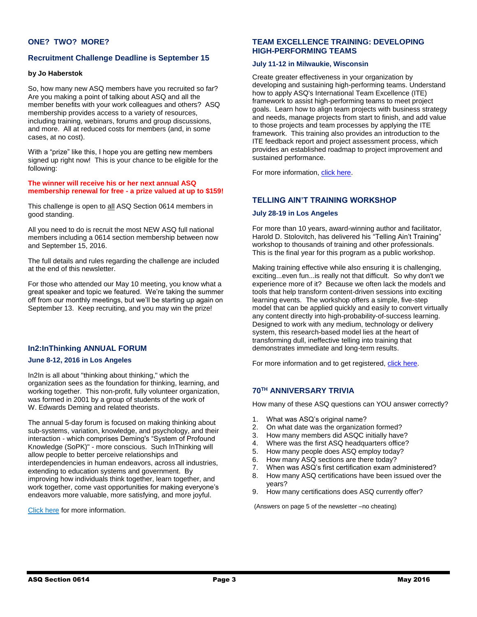# **ONE? TWO? MORE?**

# **Recruitment Challenge Deadline is September 15**

### **by Jo Haberstok**

So, how many new ASQ members have you recruited so far? Are you making a point of talking about ASQ and all the member benefits with your work colleagues and others? ASQ membership provides access to a variety of resources, including training, webinars, forums and group discussions, and more. All at reduced costs for members (and, in some cases, at no cost).

With a "prize" like this, I hope you are getting new members signed up right now! This is your chance to be eligible for the following:

#### **The winner will receive his or her next annual ASQ membership renewal for free - a prize valued at up to \$159!**

This challenge is open to all ASQ Section 0614 members in good standing.

All you need to do is recruit the most NEW ASQ full national members including a 0614 section membership between now and September 15, 2016.

The full details and rules regarding the challenge are included at the end of this newsletter.

For those who attended our May 10 meeting, you know what a great speaker and topic we featured. We're taking the summer off from our monthly meetings, but we'll be starting up again on September 13. Keep recruiting, and you may win the prize!

# **In2:InThinking ANNUAL FORUM**

### **June 8-12, 2016 in Los Angeles**

In2In is all about "thinking about thinking," which the organization sees as the foundation for thinking, learning, and working together. This non-profit, fully volunteer organization, was formed in 2001 by a group of students of the work of W. Edwards Deming and related theorists.

The annual 5-day forum is focused on making thinking about sub-systems, variation, knowledge, and psychology, and their interaction - which comprises Deming's "System of Profound Knowledge (SoPK)" - more conscious. Such InThinking will allow people to better perceive relationships and interdependencies in human endeavors, across all industries, extending to education systems and government. By improving how individuals think together, learn together, and work together, come vast opportunities for making everyone's endeavors more valuable, more satisfying, and more joyful.

#### [Click here](http://www.in2in.org/forums/2016/index.html) for more information.

# **TEAM EXCELLENCE TRAINING: DEVELOPING HIGH-PERFORMING TEAMS**

# **July 11-12 in Milwaukie, Wisconsin**

Create greater effectiveness in your organization by developing and sustaining high-performing teams. Understand how to apply ASQ's International Team Excellence (ITE) framework to assist high-performing teams to meet project goals. Learn how to align team projects with business strategy and needs, manage projects from start to finish, and add value to those projects and team processes by applying the ITE framework. This training also provides an introduction to the ITE feedback report and project assessment process, which provides an established roadmap to project improvement and sustained performance.

For more information[, click here.](http://asq.org/training/asq-team-excellence-training-level-1-developing-high-performing-teams_TBPPEASQ.html)

# **TELLING AIN'T TRAINING WORKSHOP**

#### **July 28-19 in Los Angeles**

For more than 10 years, award-winning author and facilitator, Harold D. Stolovitch, has delivered his "Telling Ain't Training" workshop to thousands of training and other professionals. This is the final year for this program as a public workshop.

Making training effective while also ensuring it is challenging, exciting...even fun...is really not that difficult. So why don't we experience more of it? Because we often lack the models and tools that help transform content-driven sessions into exciting learning events. The workshop offers a simple, five-step model that can be applied quickly and easily to convert virtually any content directly into high-probability-of-success learning. Designed to work with any medium, technology or delivery system, this research-based model lies at the heart of transforming dull, ineffective telling into training that demonstrates immediate and long-term results.

For more information and to get registered[, click here.](https://www.td.org/Events/Telling-Aint-Training)

# **70TH ANNIVERSARY TRIVIA**

How many of these ASQ questions can YOU answer correctly?

- 1. What was ASQ's original name?
- 2. On what date was the organization formed?
- 3. How many members did ASQC initially have?
- 4. Where was the first ASQ headquarters office?
- 5. How many people does ASQ employ today?
- 6. How many ASQ sections are there today?
- 7. When was ASQ's first certification exam administered?
- 8. How many ASQ certifications have been issued over the years?
- 9. How many certifications does ASQ currently offer?

(Answers on page 5 of the newsletter –no cheating)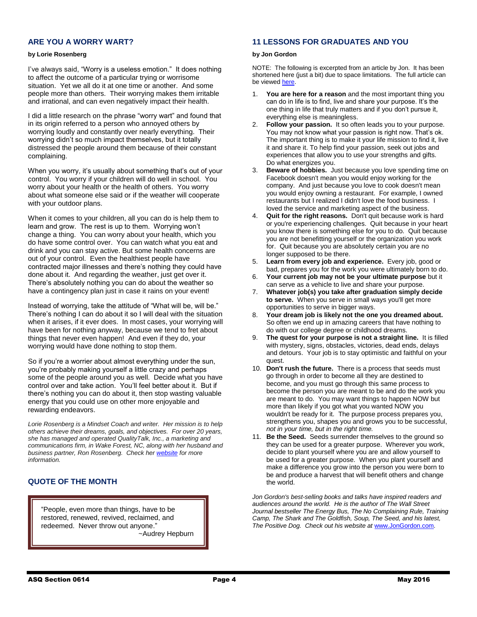# **ARE YOU A WORRY WART?**

#### **by Lorie Rosenberg**

I've always said, "Worry is a useless emotion." It does nothing to affect the outcome of a particular trying or worrisome situation. Yet we all do it at one time or another. And some people more than others. Their worrying makes them irritable and irrational, and can even negatively impact their health.

I did a little research on the phrase "worry wart" and found that in its origin referred to a person who annoyed others by worrying loudly and constantly over nearly everything. Their worrying didn't so much impact themselves, but it totally distressed the people around them because of their constant complaining.

When you worry, it's usually about something that's out of your control. You worry if your children will do well in school. You worry about your health or the health of others. You worry about what someone else said or if the weather will cooperate with your outdoor plans.

When it comes to your children, all you can do is help them to learn and grow. The rest is up to them. Worrying won't change a thing. You can worry about your health, which you do have some control over. You can watch what you eat and drink and you can stay active. But some health concerns are out of your control. Even the healthiest people have contracted major illnesses and there's nothing they could have done about it. And regarding the weather, just get over it. There's absolutely nothing you can do about the weather so have a contingency plan just in case it rains on your event!

Instead of worrying, take the attitude of "What will be, will be." There's nothing I can do about it so I will deal with the situation when it arises, if it ever does. In most cases, your worrying will have been for nothing anyway, because we tend to fret about things that never even happen! And even if they do, your worrying would have done nothing to stop them.

So if you're a worrier about almost everything under the sun, you're probably making yourself a little crazy and perhaps some of the people around you as well. Decide what you have control over and take action. You'll feel better about it. But if there's nothing you can do about it, then stop wasting valuable energy that you could use on other more enjoyable and rewarding endeavors.

*Lorie Rosenberg is a Mindset Coach and writer. Her mission is to help others achieve their dreams, goals, and objectives. For over 20 years, she has managed and operated QualityTalk, Inc., a marketing and communications firm, in Wake Forest, NC, along with her husband and business partner, Ron Rosenberg. Check her [website](http://lorierosenberg.com/) for more information.*

# **QUOTE OF THE MONTH**

"People, even more than things, have to be restored, renewed, revived, reclaimed, and redeemed. Never throw out anyone." ~Audrey Hepburn

# **11 LESSONS FOR GRADUATES AND YOU**

#### **by Jon Gordon**

NOTE: The following is excerpted from an article by Jon. It has been shortened here (just a bit) due to space limitations. The full article can be viewed [here.](http://www.jongordon.com/positive-tip-lessons-for-graduates.html)

- 1. **You are here for a reason** and the most important thing you can do in life is to find, live and share your purpose. It's the one thing in life that truly matters and if you don't pursue it, everything else is meaningless.
- 2. **Follow your passion.** It so often leads you to your purpose. You may not know what your passion is right now. That's ok. The important thing is to make it your life mission to find it, live it and share it. To help find your passion, seek out jobs and experiences that allow you to use your strengths and gifts. Do what energizes you.
- 3. **Beware of hobbies.** Just because you love spending time on Facebook doesn't mean you would enjoy working for the company. And just because you love to cook doesn't mean you would enjoy owning a restaurant. For example, I owned restaurants but I realized I didn't love the food business. I loved the service and marketing aspect of the business.
- 4. **Quit for the right reasons.** Don't quit because work is hard or you're experiencing challenges. Quit because in your heart you know there is something else for you to do. Quit because you are not benefitting yourself or the organization you work for. Quit because you are absolutely certain you are no longer supposed to be there.
- 5. **Learn from every job and experience.** Every job, good or bad, prepares you for the work you were ultimately born to do.
- 6. **Your current job may not be your ultimate purpose** but it can serve as a vehicle to live and share your purpose.
- 7. **Whatever job(s) you take after graduation simply decide to serve.** When you serve in small ways you'll get more opportunities to serve in bigger ways.
- 8. **Your dream job is likely not the one you dreamed about.** So often we end up in amazing careers that have nothing to do with our college degree or childhood dreams.
- 9. **The quest for your purpose is not a straight line.** It is filled with mystery, signs, obstacles, victories, dead ends, delays and detours. Your job is to stay optimistic and faithful on your quest.
- 10. **Don't rush the future.** There is a process that seeds must go through in order to become all they are destined to become, and you must go through this same process to become the person you are meant to be and do the work you are meant to do. You may want things to happen NOW but more than likely if you got what you wanted NOW you wouldn't be ready for it. The purpose process prepares you, strengthens you, shapes you and grows you to be successful, *not in your time, but in the right time.*
- 11. **Be the Seed.** Seeds surrender themselves to the ground so they can be used for a greater purpose. Wherever you work, decide to plant yourself where you are and allow yourself to be used for a greater purpose. When you plant yourself and make a difference you grow into the person you were born to be and produce a harvest that will benefit others and change the world.

*Jon Gordon's best-selling books and talks have inspired readers and audiences around the world. He is the author of The Wall Street Journal bestseller The Energy Bus, The No Complaining Rule, Training Camp, The Shark and The Goldfish, Soup, The Seed, and his latest, The Positive Dog. Check out his website at* [www.JonGordon.com](file:///C:/Users/dance4me/AppData/Local/Microsoft/Windows/INetCache/Content.Outlook/F1323W9A/www.JonGordon.com)*.*

Ī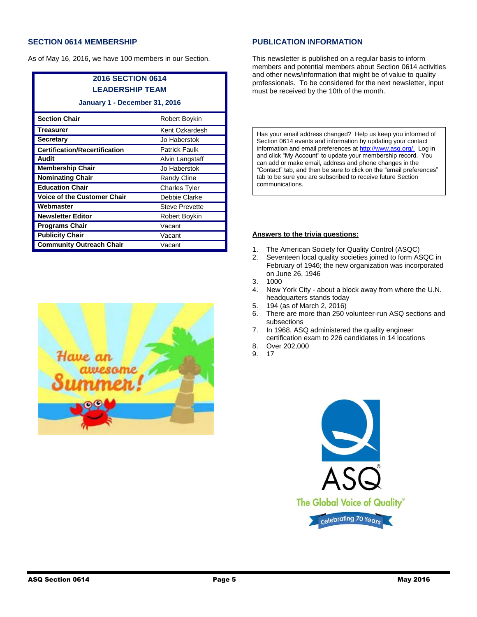# **SECTION 0614 MEMBERSHIP**

As of May 16, 2016, we have 100 members in our Section.

| <b>2016 SECTION 0614</b>             |                       |
|--------------------------------------|-----------------------|
| <b>LEADERSHIP TEAM</b>               |                       |
| January 1 - December 31, 2016        |                       |
| <b>Section Chair</b>                 | Robert Boykin         |
| <b>Treasurer</b>                     | Kent Ozkardesh        |
| <b>Secretary</b>                     | Jo Haberstok          |
| <b>Certification/Recertification</b> | <b>Patrick Faulk</b>  |
| Audit                                | Alvin Langstaff       |
| <b>Membership Chair</b>              | Jo Haberstok          |
| <b>Nominating Chair</b>              | Randy Cline           |
| <b>Education Chair</b>               | <b>Charles Tyler</b>  |
| Voice of the Customer Chair          | Debbie Clarke         |
| Webmaster                            | <b>Steve Prevette</b> |
| <b>Newsletter Editor</b>             | Robert Boykin         |
| <b>Programs Chair</b>                | Vacant                |
| <b>Publicity Chair</b>               | Vacant                |
| <b>Community Outreach Chair</b>      | Vacant                |



# **PUBLICATION INFORMATION**

This newsletter is published on a regular basis to inform members and potential members about Section 0614 activities and other news/information that might be of value to quality professionals. To be considered for the next newsletter, input must be received by the 10th of the month.

Has your email address changed? Help us keep you informed of Section 0614 events and information by updating your contact information and email preferences a[t http://www.asq.org/.](http://www.asq.org/) Log in and click "My Account" to update your membership record. You can add or make email, address and phone changes in the "Contact" tab, and then be sure to click on the "email preferences" tab to be sure you are subscribed to receive future Section communications.

### **Answers to the trivia questions:**

- 1. The American Society for Quality Control (ASQC)
- 2. Seventeen local quality societies joined to form ASQC in February of 1946; the new organization was incorporated on June 26, 1946
- 3. 1000
- 4. New York City about a block away from where the U.N. headquarters stands today
- 5. 194 (as of March 2, 2016)
- 6. There are more than 250 volunteer-run ASQ sections and subsections
- 7. In 1968, ASQ administered the quality engineer certification exam to 226 candidates in 14 locations
- 8. Over 202,000
- 9. 17